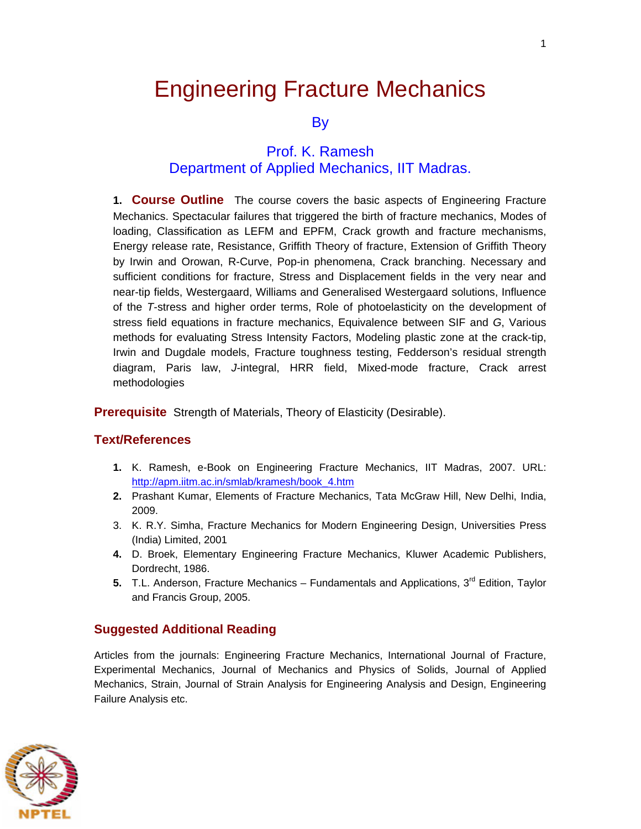# Engineering Fracture Mechanics

**By** 

#### Prof. K. Ramesh Department of Applied Mechanics, IIT Madras.

**1. Course Outline** The course covers the basic aspects of Engineering Fracture Mechanics. Spectacular failures that triggered the birth of fracture mechanics, Modes of loading, Classification as LEFM and EPFM, Crack growth and fracture mechanisms, Energy release rate, Resistance, Griffith Theory of fracture, Extension of Griffith Theory by Irwin and Orowan, R-Curve, Pop-in phenomena, Crack branching. Necessary and sufficient conditions for fracture, Stress and Displacement fields in the very near and near-tip fields, Westergaard, Williams and Generalised Westergaard solutions, Influence of the *T*-stress and higher order terms, Role of photoelasticity on the development of stress field equations in fracture mechanics, Equivalence between SIF and *G*, Various methods for evaluating Stress Intensity Factors, Modeling plastic zone at the crack-tip, Irwin and Dugdale models, Fracture toughness testing, Fedderson's residual strength diagram, Paris law, *J*-integral, HRR field, Mixed-mode fracture, Crack arrest methodologies

**Prerequisite** Strength of Materials, Theory of Elasticity (Desirable).

#### **Text/References**

- **1.** K. Ramesh, e-Book on Engineering Fracture Mechanics, IIT Madras, 2007. URL: [http://apm.iitm.ac.in/smlab/kramesh/book\\_4.htm](http://apm.iitm.ac.in/smlab/kramesh/book_4.htm)
- **2.** Prashant Kumar, Elements of Fracture Mechanics, Tata McGraw Hill, New Delhi, India, 2009.
- 3. K. R.Y. Simha, Fracture Mechanics for Modern Engineering Design, Universities Press (India) Limited, 2001
- **4.** D. Broek, Elementary Engineering Fracture Mechanics, Kluwer Academic Publishers, Dordrecht, 1986.
- **5.** T.L. Anderson, Fracture Mechanics Fundamentals and Applications, 3<sup>rd</sup> Edition. Tavlor and Francis Group, 2005.

#### **Suggested Additional Reading**

Articles from the journals: Engineering Fracture Mechanics, International Journal of Fracture, Experimental Mechanics, Journal of Mechanics and Physics of Solids, Journal of Applied Mechanics, Strain, Journal of Strain Analysis for Engineering Analysis and Design, Engineering Failure Analysis etc.

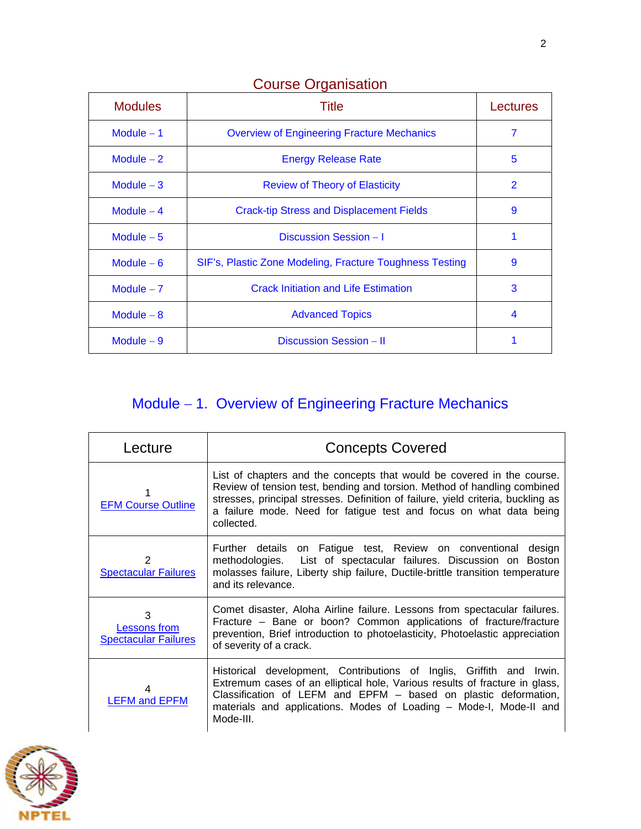| <b>Modules</b> | Title                                                    | Lectures |
|----------------|----------------------------------------------------------|----------|
| Module $-1$    | <b>Overview of Engineering Fracture Mechanics</b>        | 7        |
| Module $-2$    | <b>Energy Release Rate</b>                               | 5        |
| Module $-3$    | <b>Review of Theory of Elasticity</b>                    | 2        |
| Module $-4$    | <b>Crack-tip Stress and Displacement Fields</b>          | 9        |
| Module $-5$    | Discussion Session - I                                   | 1        |
| Module $-6$    | SIF's, Plastic Zone Modeling, Fracture Toughness Testing | 9        |
| Module $-7$    | <b>Crack Initiation and Life Estimation</b>              | 3        |
| Module $-8$    | <b>Advanced Topics</b>                                   | 4        |
| Module $-9$    | Discussion Session - II                                  |          |

### Course Organisation

## Module - 1. Overview of Engineering Fracture Mechanics

| Lecture                                                 | <b>Concepts Covered</b>                                                                                                                                                                                                                                                                                                    |
|---------------------------------------------------------|----------------------------------------------------------------------------------------------------------------------------------------------------------------------------------------------------------------------------------------------------------------------------------------------------------------------------|
| <b>EFM Course Outline</b>                               | List of chapters and the concepts that would be covered in the course.<br>Review of tension test, bending and torsion. Method of handling combined<br>stresses, principal stresses. Definition of failure, yield criteria, buckling as<br>a failure mode. Need for fatigue test and focus on what data being<br>collected. |
| 2<br><b>Spectacular Failures</b>                        | Further details on Fatigue test, Review on conventional design<br>methodologies. List of spectacular failures. Discussion on Boston<br>molasses failure, Liberty ship failure, Ductile-brittle transition temperature<br>and its relevance.                                                                                |
| 3<br><b>Lessons from</b><br><b>Spectacular Failures</b> | Comet disaster, Aloha Airline failure. Lessons from spectacular failures.<br>Fracture – Bane or boon? Common applications of fracture/fracture<br>prevention, Brief introduction to photoelasticity, Photoelastic appreciation<br>of severity of a crack.                                                                  |
| <b>LEFM and EPFM</b>                                    | Historical development, Contributions of Inglis, Griffith and<br>Irwin.<br>Extremum cases of an elliptical hole, Various results of fracture in glass,<br>Classification of LEFM and EPFM - based on plastic deformation,<br>materials and applications. Modes of Loading - Mode-I, Mode-II and<br>Mode-III.               |

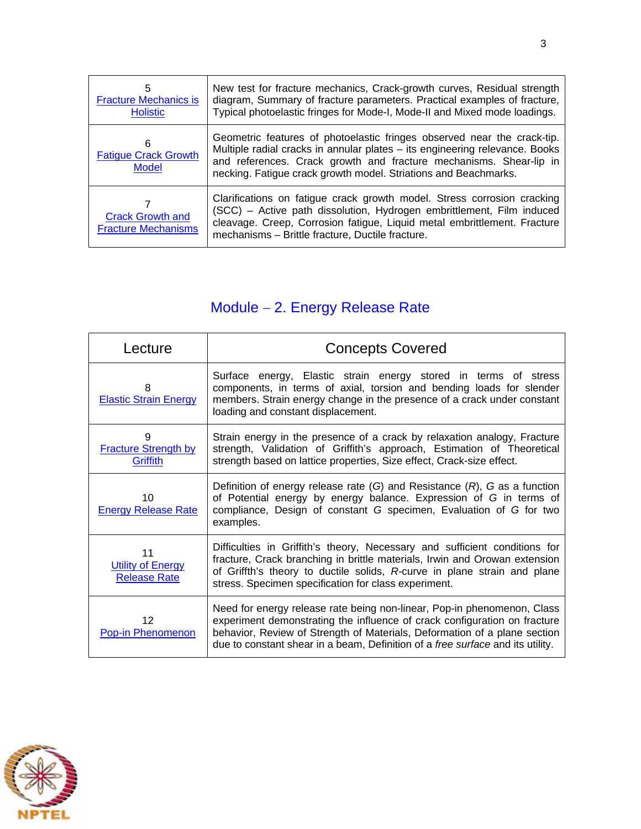| 5<br><b>Fracture Mechanics is</b><br><b>Holistic</b>  | New test for fracture mechanics, Crack-growth curves, Residual strength<br>diagram, Summary of fracture parameters. Practical examples of fracture,<br>Typical photoelastic fringes for Mode-I, Mode-II and Mixed mode loadings.                                                                |
|-------------------------------------------------------|-------------------------------------------------------------------------------------------------------------------------------------------------------------------------------------------------------------------------------------------------------------------------------------------------|
| 6<br><b>Fatigue Crack Growth</b><br><b>Model</b>      | Geometric features of photoelastic fringes observed near the crack-tip.<br>Multiple radial cracks in annular plates - its engineering relevance. Books<br>and references. Crack growth and fracture mechanisms. Shear-lip in<br>necking. Fatigue crack growth model. Striations and Beachmarks. |
| <b>Crack Growth and</b><br><b>Fracture Mechanisms</b> | Clarifications on fatigue crack growth model. Stress corrosion cracking<br>(SCC) - Active path dissolution, Hydrogen embrittlement, Film induced<br>cleavage. Creep, Corrosion fatigue, Liquid metal embrittlement. Fracture<br>mechanisms - Brittle fracture, Ductile fracture.                |

## Module - 2. Energy Release Rate

| Lecture                                               | <b>Concepts Covered</b>                                                                                                                                                                                                                                                                                             |
|-------------------------------------------------------|---------------------------------------------------------------------------------------------------------------------------------------------------------------------------------------------------------------------------------------------------------------------------------------------------------------------|
| 8<br><b>Elastic Strain Energy</b>                     | Surface energy, Elastic strain energy stored in terms of stress<br>components, in terms of axial, torsion and bending loads for slender<br>members. Strain energy change in the presence of a crack under constant<br>loading and constant displacement.                                                            |
| 9<br><b>Fracture Strength by</b><br>Griffith          | Strain energy in the presence of a crack by relaxation analogy, Fracture<br>strength, Validation of Griffith's approach, Estimation of Theoretical<br>strength based on lattice properties, Size effect, Crack-size effect.                                                                                         |
| 10<br><b>Energy Release Rate</b>                      | Definition of energy release rate $(G)$ and Resistance $(R)$ , G as a function<br>of Potential energy by energy balance. Expression of G in terms of<br>compliance, Design of constant G specimen, Evaluation of G for two<br>examples.                                                                             |
| 11<br><b>Utility of Energy</b><br><b>Release Rate</b> | Difficulties in Griffith's theory, Necessary and sufficient conditions for<br>fracture, Crack branching in brittle materials, Irwin and Orowan extension<br>of Griffth's theory to ductile solids, R-curve in plane strain and plane<br>stress. Specimen specification for class experiment.                        |
| 12<br>Pop-in Phenomenon                               | Need for energy release rate being non-linear, Pop-in phenomenon, Class<br>experiment demonstrating the influence of crack configuration on fracture<br>behavior, Review of Strength of Materials, Deformation of a plane section<br>due to constant shear in a beam, Definition of a free surface and its utility. |

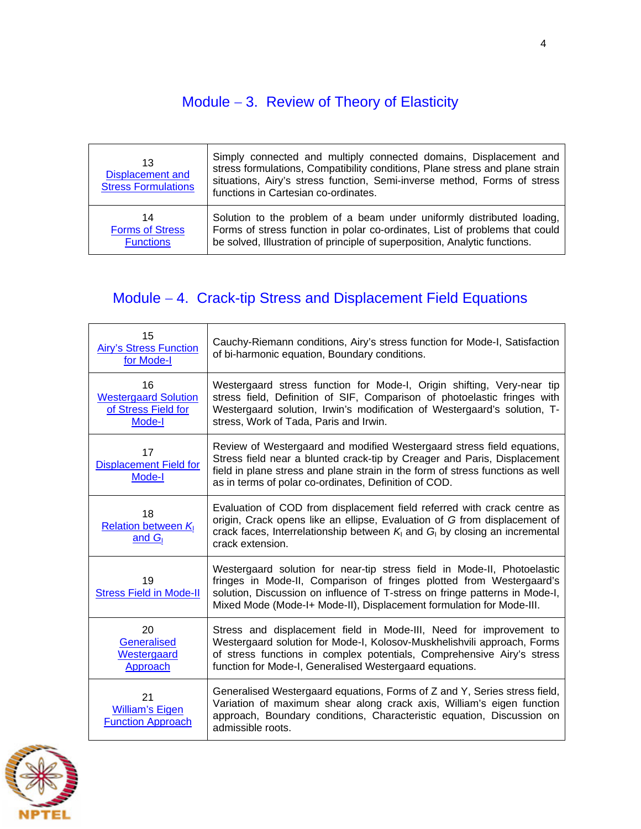## Module  $-3$ . Review of Theory of Elasticity

| 13<br><b>Displacement and</b><br><b>Stress Formulations</b> | Simply connected and multiply connected domains, Displacement and<br>stress formulations, Compatibility conditions, Plane stress and plane strain<br>situations, Airy's stress function, Semi-inverse method, Forms of stress<br>functions in Cartesian co-ordinates. |
|-------------------------------------------------------------|-----------------------------------------------------------------------------------------------------------------------------------------------------------------------------------------------------------------------------------------------------------------------|
| 14                                                          | Solution to the problem of a beam under uniformly distributed loading,                                                                                                                                                                                                |
| <b>Forms of Stress</b>                                      | Forms of stress function in polar co-ordinates, List of problems that could                                                                                                                                                                                           |
| <b>Functions</b>                                            | be solved, Illustration of principle of superposition, Analytic functions.                                                                                                                                                                                            |

## Module 4. Crack-tip Stress and Displacement Field Equations

| 15<br><b>Airy's Stress Function</b><br>for Mode-I                  | Cauchy-Riemann conditions, Airy's stress function for Mode-I, Satisfaction<br>of bi-harmonic equation, Boundary conditions.                                                                                                                                                                            |
|--------------------------------------------------------------------|--------------------------------------------------------------------------------------------------------------------------------------------------------------------------------------------------------------------------------------------------------------------------------------------------------|
| 16<br><b>Westergaard Solution</b><br>of Stress Field for<br>Mode-I | Westergaard stress function for Mode-I, Origin shifting, Very-near tip<br>stress field, Definition of SIF, Comparison of photoelastic fringes with<br>Westergaard solution, Irwin's modification of Westergaard's solution, T-<br>stress, Work of Tada, Paris and Irwin.                               |
| 17<br><b>Displacement Field for</b><br>Mode-I                      | Review of Westergaard and modified Westergaard stress field equations,<br>Stress field near a blunted crack-tip by Creager and Paris, Displacement<br>field in plane stress and plane strain in the form of stress functions as well<br>as in terms of polar co-ordinates, Definition of COD.          |
| 18<br><b>Relation between K</b><br>and $G_{I}$                     | Evaluation of COD from displacement field referred with crack centre as<br>origin, Crack opens like an ellipse, Evaluation of G from displacement of<br>crack faces, Interrelationship between $K_i$ and $G_i$ by closing an incremental<br>crack extension.                                           |
| 19<br><b>Stress Field in Mode-II</b>                               | Westergaard solution for near-tip stress field in Mode-II, Photoelastic<br>fringes in Mode-II, Comparison of fringes plotted from Westergaard's<br>solution, Discussion on influence of T-stress on fringe patterns in Mode-I,<br>Mixed Mode (Mode-I+ Mode-II), Displacement formulation for Mode-III. |
| 20<br>Generalised<br>Westergaard<br>Approach                       | Stress and displacement field in Mode-III, Need for improvement to<br>Westergaard solution for Mode-I, Kolosov-Muskhelishvili approach, Forms<br>of stress functions in complex potentials, Comprehensive Airy's stress<br>function for Mode-I, Generalised Westergaard equations.                     |
| 21<br><b>William's Eigen</b><br><b>Function Approach</b>           | Generalised Westergaard equations, Forms of Z and Y, Series stress field,<br>Variation of maximum shear along crack axis, William's eigen function<br>approach, Boundary conditions, Characteristic equation, Discussion on<br>admissible roots.                                                       |

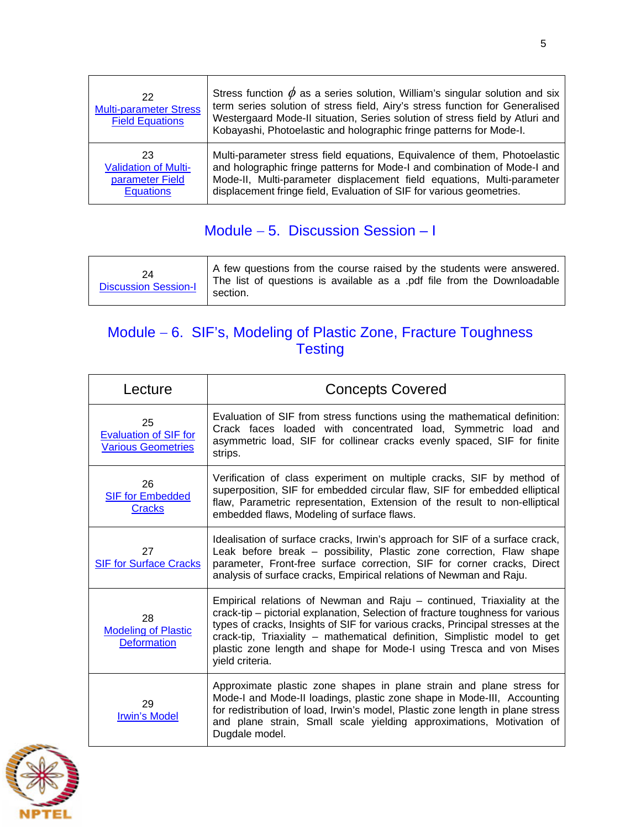| 22<br><b>Multi-parameter Stress</b><br><b>Field Equations</b> | Stress function $\phi$ as a series solution, William's singular solution and six<br>term series solution of stress field, Airy's stress function for Generalised<br>Westergaard Mode-II situation, Series solution of stress field by Atluri and<br>Kobayashi, Photoelastic and holographic fringe patterns for Mode-I. |
|---------------------------------------------------------------|-------------------------------------------------------------------------------------------------------------------------------------------------------------------------------------------------------------------------------------------------------------------------------------------------------------------------|
| 23                                                            | Multi-parameter stress field equations, Equivalence of them, Photoelastic                                                                                                                                                                                                                                               |
| <b>Validation of Multi-</b>                                   | and holographic fringe patterns for Mode-I and combination of Mode-I and                                                                                                                                                                                                                                                |
| parameter Field                                               | Mode-II, Multi-parameter displacement field equations, Multi-parameter                                                                                                                                                                                                                                                  |
| <b>Equations</b>                                              | displacement fringe field, Evaluation of SIF for various geometries.                                                                                                                                                                                                                                                    |

### Module  $-5$ . Discussion Session  $-1$

| 24<br><b>Discussion Session-I</b> | A few questions from the course raised by the students were answered.<br>The list of questions is available as a .pdf file from the Downloadable<br>section. |
|-----------------------------------|--------------------------------------------------------------------------------------------------------------------------------------------------------------|
|-----------------------------------|--------------------------------------------------------------------------------------------------------------------------------------------------------------|

### Module - 6. SIF's, Modeling of Plastic Zone, Fracture Toughness **Testing**

| Lecture                                                         | <b>Concepts Covered</b>                                                                                                                                                                                                                                                                                                                                                                                           |
|-----------------------------------------------------------------|-------------------------------------------------------------------------------------------------------------------------------------------------------------------------------------------------------------------------------------------------------------------------------------------------------------------------------------------------------------------------------------------------------------------|
| 25<br><b>Evaluation of SIF for</b><br><b>Various Geometries</b> | Evaluation of SIF from stress functions using the mathematical definition:<br>Crack faces loaded with concentrated load, Symmetric load and<br>asymmetric load, SIF for collinear cracks evenly spaced, SIF for finite<br>strips.                                                                                                                                                                                 |
| 26<br><b>SIF for Embedded</b><br><b>Cracks</b>                  | Verification of class experiment on multiple cracks, SIF by method of<br>superposition, SIF for embedded circular flaw, SIF for embedded elliptical<br>flaw, Parametric representation, Extension of the result to non-elliptical<br>embedded flaws, Modeling of surface flaws.                                                                                                                                   |
| 27<br><b>SIF for Surface Cracks</b>                             | Idealisation of surface cracks, Irwin's approach for SIF of a surface crack,<br>Leak before break - possibility, Plastic zone correction, Flaw shape<br>parameter, Front-free surface correction, SIF for corner cracks, Direct<br>analysis of surface cracks, Empirical relations of Newman and Raju.                                                                                                            |
| 28<br><b>Modeling of Plastic</b><br><b>Deformation</b>          | Empirical relations of Newman and Raju – continued, Triaxiality at the<br>crack-tip – pictorial explanation, Selection of fracture toughness for various<br>types of cracks, Insights of SIF for various cracks, Principal stresses at the<br>crack-tip, Triaxiality - mathematical definition, Simplistic model to get<br>plastic zone length and shape for Mode-I using Tresca and von Mises<br>yield criteria. |
| 29<br><b>Irwin's Model</b>                                      | Approximate plastic zone shapes in plane strain and plane stress for<br>Mode-I and Mode-II loadings, plastic zone shape in Mode-III, Accounting<br>for redistribution of load, Irwin's model, Plastic zone length in plane stress<br>and plane strain, Small scale yielding approximations, Motivation of<br>Dugdale model.                                                                                       |

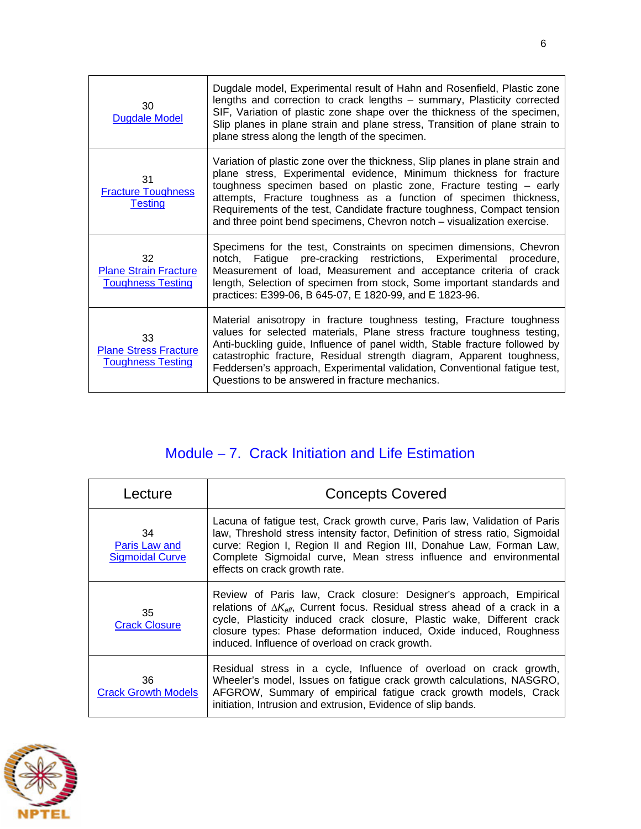| 30<br><b>Dugdale Model</b>                                     | Dugdale model, Experimental result of Hahn and Rosenfield, Plastic zone<br>lengths and correction to crack lengths - summary, Plasticity corrected<br>SIF, Variation of plastic zone shape over the thickness of the specimen,<br>Slip planes in plane strain and plane stress, Transition of plane strain to<br>plane stress along the length of the specimen.                                                                                       |
|----------------------------------------------------------------|-------------------------------------------------------------------------------------------------------------------------------------------------------------------------------------------------------------------------------------------------------------------------------------------------------------------------------------------------------------------------------------------------------------------------------------------------------|
| 31<br><b>Fracture Toughness</b><br><b>Testing</b>              | Variation of plastic zone over the thickness, Slip planes in plane strain and<br>plane stress, Experimental evidence, Minimum thickness for fracture<br>toughness specimen based on plastic zone, Fracture testing - early<br>attempts, Fracture toughness as a function of specimen thickness,<br>Requirements of the test, Candidate fracture toughness, Compact tension<br>and three point bend specimens, Chevron notch – visualization exercise. |
| 32<br><b>Plane Strain Fracture</b><br><b>Toughness Testing</b> | Specimens for the test, Constraints on specimen dimensions, Chevron<br>notch, Fatigue pre-cracking restrictions, Experimental procedure,<br>Measurement of load, Measurement and acceptance criteria of crack<br>length, Selection of specimen from stock, Some important standards and<br>practices: E399-06, B 645-07, E 1820-99, and E 1823-96.                                                                                                    |
| 33<br><b>Plane Stress Fracture</b><br><b>Toughness Testing</b> | Material anisotropy in fracture toughness testing, Fracture toughness<br>values for selected materials, Plane stress fracture toughness testing,<br>Anti-buckling guide, Influence of panel width, Stable fracture followed by<br>catastrophic fracture, Residual strength diagram, Apparent toughness,<br>Feddersen's approach, Experimental validation, Conventional fatigue test,<br>Questions to be answered in fracture mechanics.               |

## Module - 7. Crack Initiation and Life Estimation

| Lecture                                       | <b>Concepts Covered</b>                                                                                                                                                                                                                                                                                                                                              |
|-----------------------------------------------|----------------------------------------------------------------------------------------------------------------------------------------------------------------------------------------------------------------------------------------------------------------------------------------------------------------------------------------------------------------------|
| 34<br>Paris Law and<br><b>Sigmoidal Curve</b> | Lacuna of fatigue test, Crack growth curve, Paris law, Validation of Paris<br>law, Threshold stress intensity factor, Definition of stress ratio, Sigmoidal<br>curve: Region I, Region II and Region III, Donahue Law, Forman Law,<br>Complete Sigmoidal curve, Mean stress influence and environmental<br>effects on crack growth rate.                             |
| 35<br><b>Crack Closure</b>                    | Review of Paris law, Crack closure: Designer's approach, Empirical<br>relations of $\Delta K_{\text{eff}}$ , Current focus. Residual stress ahead of a crack in a<br>cycle, Plasticity induced crack closure, Plastic wake, Different crack<br>closure types: Phase deformation induced, Oxide induced, Roughness<br>induced. Influence of overload on crack growth. |
| 36<br><b>Crack Growth Models</b>              | Residual stress in a cycle, Influence of overload on crack growth,<br>Wheeler's model, Issues on fatigue crack growth calculations, NASGRO,<br>AFGROW, Summary of empirical fatigue crack growth models, Crack<br>initiation, Intrusion and extrusion, Evidence of slip bands.                                                                                       |

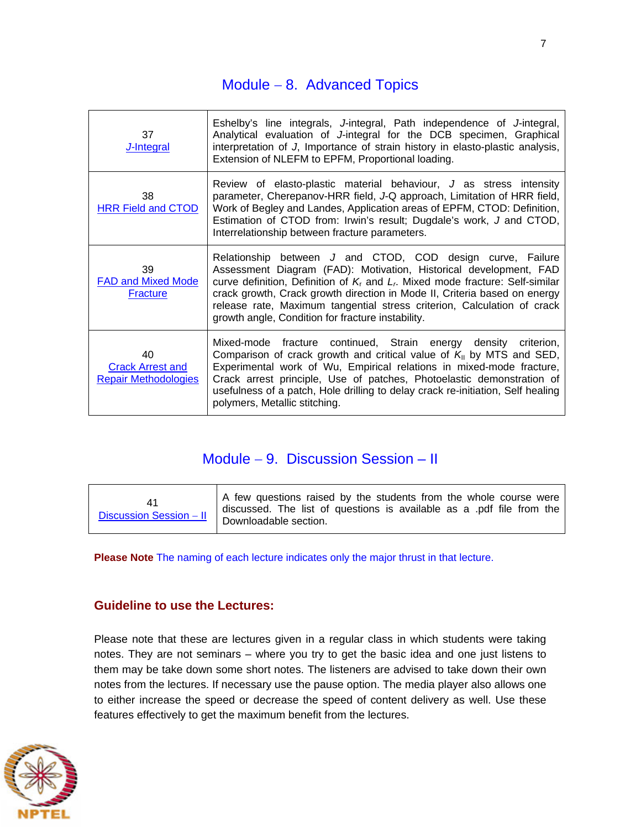#### Module  $-8$ . Advanced Topics

| 37<br>J-Integral                                             | Eshelby's line integrals, J-integral, Path independence of J-integral,<br>Analytical evaluation of J-integral for the DCB specimen, Graphical<br>interpretation of J, Importance of strain history in elasto-plastic analysis,<br>Extension of NLEFM to EPFM, Proportional loading.                                                                                                                                               |
|--------------------------------------------------------------|-----------------------------------------------------------------------------------------------------------------------------------------------------------------------------------------------------------------------------------------------------------------------------------------------------------------------------------------------------------------------------------------------------------------------------------|
| 38<br><b>HRR Field and CTOD</b>                              | Review of elasto-plastic material behaviour, J as stress intensity<br>parameter, Cherepanov-HRR field, J-Q approach, Limitation of HRR field,<br>Work of Begley and Landes, Application areas of EPFM, CTOD: Definition,<br>Estimation of CTOD from: Irwin's result; Dugdale's work, J and CTOD,<br>Interrelationship between fracture parameters.                                                                                |
| 39<br><b>FAD and Mixed Mode</b><br><b>Fracture</b>           | Relationship between J and CTOD, COD design curve, Failure<br>Assessment Diagram (FAD): Motivation, Historical development, FAD<br>curve definition, Definition of $Kr$ and $Lr$ . Mixed mode fracture: Self-similar<br>crack growth, Crack growth direction in Mode II, Criteria based on energy<br>release rate, Maximum tangential stress criterion, Calculation of crack<br>growth angle, Condition for fracture instability. |
| 40<br><b>Crack Arrest and</b><br><b>Repair Methodologies</b> | Mixed-mode fracture continued, Strain energy density criterion,<br>Comparison of crack growth and critical value of $K_{\parallel}$ by MTS and SED,<br>Experimental work of Wu, Empirical relations in mixed-mode fracture,<br>Crack arrest principle, Use of patches, Photoelastic demonstration of<br>usefulness of a patch, Hole drilling to delay crack re-initiation, Self healing<br>polymers, Metallic stitching.          |

#### Module - 9. Discussion Session - II

| $\frac{1}{2}$ Downloadable section. |  | A few questions raised by the students from the whole course were<br>I discussed. The list of questions is available as a .pdf file from the |
|-------------------------------------|--|----------------------------------------------------------------------------------------------------------------------------------------------|
|-------------------------------------|--|----------------------------------------------------------------------------------------------------------------------------------------------|

**Please Note** The naming of each lecture indicates only the major thrust in that lecture.

#### **Guideline to use the Lectures:**

Please note that these are lectures given in a regular class in which students were taking notes. They are not seminars – where you try to get the basic idea and one just listens to them may be take down some short notes. The listeners are advised to take down their own notes from the lectures. If necessary use the pause option. The media player also allows one to either increase the speed or decrease the speed of content delivery as well. Use these features effectively to get the maximum benefit from the lectures.